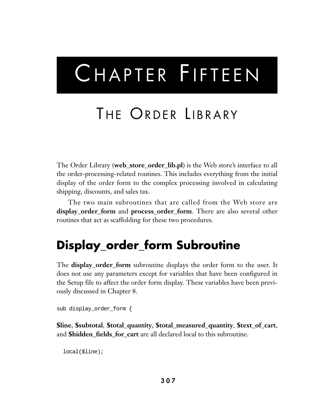# CHAPTER FIFTEEN

# THE ORDER LIBRARY

The Order Library (**web\_store\_order\_lib.pl**) is the Web store's interface to all the order-processing-related routines. This includes everything from the initial display of the order form to the complex processing involved in calculating shipping, discounts, and sales tax.

The two main subroutines that are called from the Web store are **display\_order\_form** and **process\_order\_form**. There are also several other routines that act as scaffolding for these two procedures.

### **Display\_order\_form Subroutine**

The **display\_order\_form** subroutine displays the order form to the user. It does not use any parameters except for variables that have been configured in the Setup file to affect the order form display. These variables have been previously discussed in Chapter 8.

```
sub display_order_form {
```
**\$line**, **\$subtotal**, **\$total\_quantity**, **\$total\_measured\_quantity**, **\$text\_of\_cart**, and **\$hidden** fields for cart are all declared local to this subroutine.

```
local($line);
```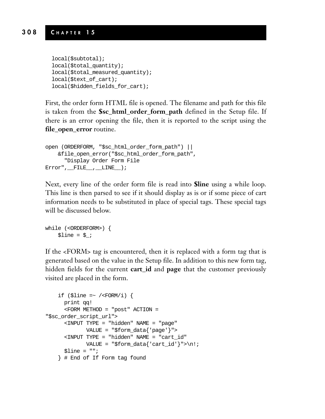```
local($subtotal);
local($total_quantity);
local($total_measured_quantity);
local($text_of_cart);
local($hidden_fields_for_cart);
```
First, the order form HTML file is opened. The filename and path for this file is taken from the **\$sc\_html\_order\_form\_path** defined in the Setup file. If there is an error opening the file, then it is reported to the script using the **file\_open\_error** routine.

```
open (ORDERFORM, "$sc_html_order_form_path") ||
   &file_open_error("$sc_html_order_form_path",
     "Display Order Form File
Error",FILE, LINE_);
```
Next, every line of the order form file is read into **\$line** using a while loop. This line is then parsed to see if it should display as is or if some piece of cart information needs to be substituted in place of special tags. These special tags will be discussed below.

```
while (<ORDERFORM>) {
   $line = $;
```
If the <FORM> tag is encountered, then it is replaced with a form tag that is generated based on the value in the Setup file. In addition to this new form tag, hidden fields for the current **cart\_id** and **page** that the customer previously visited are placed in the form.

```
if ($line =~ /<FORM/i) {
     print qq!
     <FORM METHOD = "post" ACTION =
"$sc_order_script_url">
     <INPUT TYPE = "hidden" NAME = "page"
            VALUE = "$form_data{'page'}">
     <INPUT TYPE = "hidden" NAME = "cart_id"
            VALUE = "$form data{'cart_id'}">\n!;
     $line = "";
    } # End of If Form tag found
```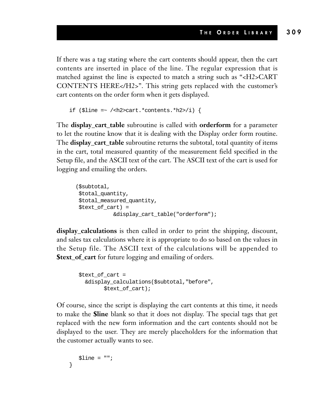If there was a tag stating where the cart contents should appear, then the cart contents are inserted in place of the line. The regular expression that is matched against the line is expected to match a string such as "<H2>CART CONTENTS HERE</H2>". This string gets replaced with the customer's cart contents on the order form when it gets displayed.

```
if ($line =~ /<h2>cart.*contents.*h2>/i) {
```
The **display\_cart\_table** subroutine is called with **orderform** for a parameter to let the routine know that it is dealing with the Display order form routine. The **display\_cart\_table** subroutine returns the subtotal, total quantity of items in the cart, total measured quantity of the measurement field specified in the Setup file, and the ASCII text of the cart. The ASCII text of the cart is used for logging and emailing the orders.

```
($subtotal,
 $total_quantity,
 $total_measured_quantity,
 $text of cart) =&display_cart_table("orderform");
```
**display\_calculations** is then called in order to print the shipping, discount, and sales tax calculations where it is appropriate to do so based on the values in the Setup file. The ASCII text of the calculations will be appended to **\$text\_of\_cart** for future logging and emailing of orders.

```
$text of cart =
 &display_calculations($subtotal,"before",
        $text_of_cart);
```
Of course, since the script is displaying the cart contents at this time, it needs to make the **\$line** blank so that it does not display. The special tags that get replaced with the new form information and the cart contents should not be displayed to the user. They are merely placeholders for the information that the customer actually wants to see.

```
$line = "";}
```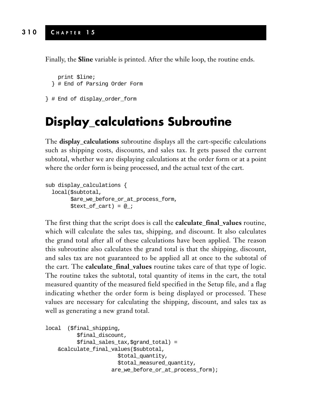Finally, the **\$line** variable is printed. After the while loop, the routine ends.

print \$line; } # End of Parsing Order Form

} # End of display\_order\_form

#### **Display\_calculations Subroutine**

The **display\_calculations** subroutine displays all the cart-specific calculations such as shipping costs, discounts, and sales tax. It gets passed the current subtotal, whether we are displaying calculations at the order form or at a point where the order form is being processed, and the actual text of the cart.

```
sub display_calculations {
 local($subtotal,
        $are we before or at process form,
        $text_of_cart) = @;
```
The first thing that the script does is call the **calculate\_final\_values** routine, which will calculate the sales tax, shipping, and discount. It also calculates the grand total after all of these calculations have been applied. The reason this subroutine also calculates the grand total is that the shipping, discount, and sales tax are not guaranteed to be applied all at once to the subtotal of the cart. The **calculate\_final\_values** routine takes care of that type of logic. The routine takes the subtotal, total quantity of items in the cart, the total measured quantity of the measured field specified in the Setup file, and a flag indicating whether the order form is being displayed or processed. These values are necessary for calculating the shipping, discount, and sales tax as well as generating a new grand total.

```
local ($final_shipping,
          $final_discount,
          $final_sales_tax,$grand_total) =
    &calculate_final_values($subtotal,
                       $total_quantity,
                       $total_measured_quantity,
                     are_we_before_or_at_process_form);
```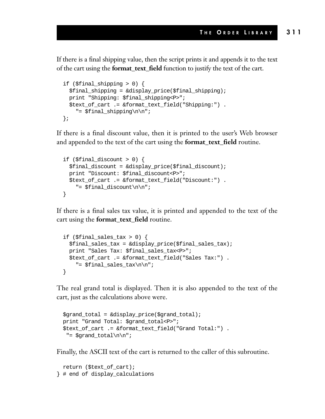If there is a final shipping value, then the script prints it and appends it to the text of the cart using the **format\_text\_field** function to justify the text of the cart.

```
if ($final_shipping > 0) {
  $final_shipping = &display_price($final_shipping);
 print "Shipping: $final_shipping<P>";
  $text_of_cart .= &format_text_field("Shipping:") .
    "= $final shipping\n\n";
};
```
If there is a final discount value, then it is printed to the user's Web browser and appended to the text of the cart using the **format\_text\_field** routine.

```
if ($final_discount > 0) {
  $final_discount = &display_price($final_discount);
 print "Discount: $final_discount<P>";
  $text_of_cart .= &format_text_field("Discount:") .
    "= $final_discount\n\n";
}
```
If there is a final sales tax value, it is printed and appended to the text of the cart using the **format\_text\_field** routine.

```
if ($final sales tax > 0) {
  $final sales_tax = &display_price($final sales_tax);
 print "Sales Tax: $final_sales_tax<P>";
  $text_of_cart .= &format_text_field("Sales Tax:") .
    "= $final sales tax\n\n\n\";
}
```
The real grand total is displayed. Then it is also appended to the text of the cart, just as the calculations above were.

```
$grand_total = &display_price($grand_total);
print "Grand Total: $grand_total<P>";
$text_of_cart .= &format_text_field("Grand Total:") .
 "= $grand_total\n\n";
```
Finally, the ASCII text of the cart is returned to the caller of this subroutine.

```
return ($text_of_cart);
} # end of display_calculations
```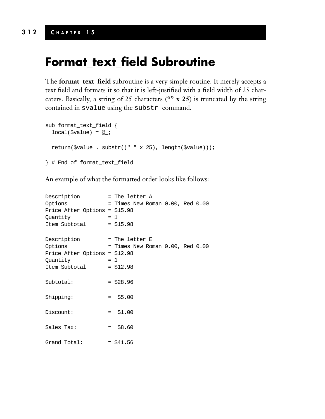### **Format\_text\_field Subroutine**

The **format\_text\_field** subroutine is a very simple routine. It merely accepts a text field and formats it so that it is left-justified with a field width of 25 charcaters. Basically, a string of 25 characters (**"" x 25**) is truncated by the string contained in svalue using the substr command.

```
sub format_text_field {
 local($value) = @ireturn($value . substr((" " x 25), length($value)));
} # End of format_text_field
```
An example of what the formatted order looks like follows:

| Description<br>Options<br>Price After Options = \$15.98<br>Quantity<br>Item Subtotal = $$15.98$ | $= 1$ | = The letter A<br>$=$ Times New Roman 0.00, Red 0.00                 |
|-------------------------------------------------------------------------------------------------|-------|----------------------------------------------------------------------|
| Description<br>Options<br>Price After Options = $$12.98$<br>Quantity<br>Item Subtotal           | $= 1$ | $=$ The letter E<br>$=$ Times New Roman 0.00, Red 0.00<br>$= $12.98$ |
| Subtotal:                                                                                       |       | $=$ \$28.96                                                          |
| $\mathop{\mathrm{Shipping}}$ :                                                                  |       | $=$ \$5.00                                                           |
| Discount:                                                                                       |       | $=$ \$1.00                                                           |
| Sales Tax:                                                                                      |       | $=$ \$8.60                                                           |
| Grand Total:                                                                                    |       | $=$ \$41.56                                                          |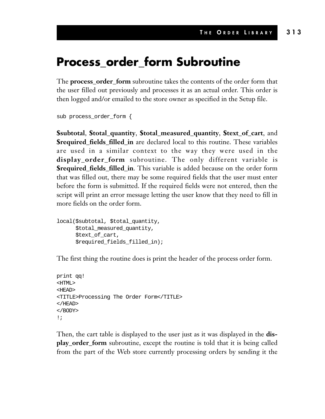#### **Process\_order\_form Subroutine**

The **process\_order\_form** subroutine takes the contents of the order form that the user filled out previously and processes it as an actual order. This order is then logged and/or emailed to the store owner as specified in the Setup file.

```
sub process_order_form {
```
**\$subtotal**, **\$total\_quantity**, **\$total\_measured\_quantity**, **\$text\_of\_cart**, and **\$required\_fields\_filled\_in** are declared local to this routine. These variables are used in a similar context to the way they were used in the **display\_order\_form** subroutine. The only different variable is **\$required\_fields\_filled\_in**. This variable is added because on the order form that was filled out, there may be some required fields that the user must enter before the form is submitted. If the required fields were not entered, then the script will print an error message letting the user know that they need to fill in more fields on the order form.

```
local($subtotal, $total_quantity,
      $total_measured_quantity,
      $text_of_cart,
      $required_fields_filled_in);
```
The first thing the routine does is print the header of the process order form.

```
print qq!
<HTML>
<HEAD>
<TITLE>Processing The Order Form</TITLE>
</HEAD>
</BODY>
!;
```
Then, the cart table is displayed to the user just as it was displayed in the **display\_order\_form** subroutine, except the routine is told that it is being called from the part of the Web store currently processing orders by sending it the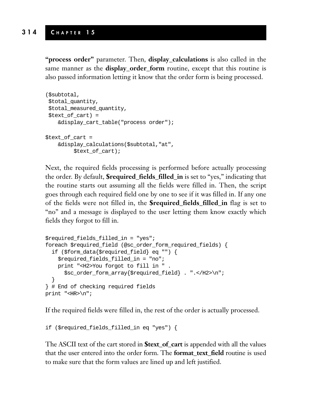**"process order"** parameter. Then, **display\_calculations** is also called in the same manner as the **display\_order\_form** routine, except that this routine is also passed information letting it know that the order form is being processed.

```
($subtotal,
 $total_quantity,
 $total_measured_quantity,
 $text_of_cart) =
    &display_cart_table("process order");
$text_of_cart =
   &display_calculations($subtotal,"at",
         $text_of_cart);
```
Next, the required fields processing is performed before actually processing the order. By default, **\$required\_fields\_filled\_in** is set to "yes," indicating that the routine starts out assuming all the fields were filled in. Then, the script goes through each required field one by one to see if it was filled in. If any one of the fields were not filled in, the **\$required\_fields\_filled\_in** flag is set to "no" and a message is displayed to the user letting them know exactly which fields they forgot to fill in.

```
$required_fields_filled_in = "yes";
foreach $required_field (@sc_order_form_required_fields) {
  if ($form_data{$required_field} eq "") {
   $required_fields_filled_in = "no";
   print "<H2>You forgot to fill in " .
      $sc_order_form_array{$required_field} . ".</H2>\n";
  }
} # End of checking required fields
print "<HR>\n";
```
If the required fields were filled in, the rest of the order is actually processed.

```
if ($required_fields_filled_in eq "yes") {
```
The ASCII text of the cart stored in **\$text\_of\_cart** is appended with all the values that the user entered into the order form. The **format\_text\_field** routine is used to make sure that the form values are lined up and left justified.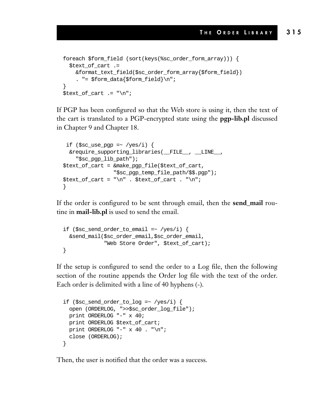```
foreach $form_field (sort(keys(%sc_order_form_array))) {
  $text_of_cart .=
    &format_text_field($sc_order_form_array{$form_field})
    . "= $form data{$form field}\\n";}
$text of cart := " \n\times
```
If PGP has been configured so that the Web store is using it, then the text of the cart is translated to a PGP-encrypted state using the **pgp-lib.pl** discussed in Chapter 9 and Chapter 18.

```
if (\text{sc\_use\_pgp} = \text{~}/\text{yes}/i) {
  &require_supporting_libraries(__FILE__, __LINE__,
    "$sc_pgp_lib_path");
$text_of_cart = &make_pgp_file($text_of_cart,
                 "$sc_pgp_temp_file_path/$$.pgp");
$text_of_cart = "\n" . $text_of_cart . "\n";
}
```
If the order is configured to be sent through email, then the **send\_mail** routine in **mail-lib.pl** is used to send the email.

```
if ($sc_send_order_to_email =~ /yes/i) {
  &send_mail($sc_order_email,$sc_order_email,
             "Web Store Order", $text_of_cart);
}
```
If the setup is configured to send the order to a Log file, then the following section of the routine appends the Order log file with the text of the order. Each order is delimited with a line of 40 hyphens (-).

```
if (\$sc\_send\_order\_to\_log = \sim /yes/i) {
  open (ORDERLOG, ">>$sc_order_log_file");
 print ORDERLOG "-" x 40;
 print ORDERLOG $text_of_cart;
 print ORDERLOG "-" x 40 . "\\n";close (ORDERLOG);
}
```
Then, the user is notified that the order was a success.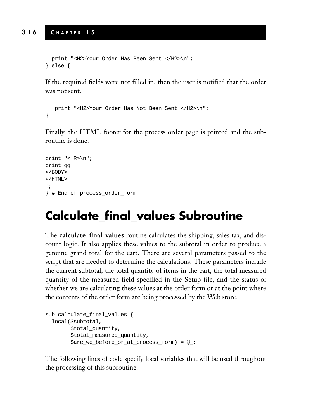```
print "<H2>Your Order Has Been Sent!</H2>\n";
} else {
```
If the required fields were not filled in, then the user is notified that the order was not sent.

```
print "<H2>Your Order Has Not Been Sent!</H2>\n";
}
```
Finally, the HTML footer for the process order page is printed and the subroutine is done.

```
print "<HR>\n";
print qq!
</BODY>
</HTML>
!;
} # End of process_order_form
```
### **Calculate\_final\_values Subroutine**

The **calculate\_final\_values** routine calculates the shipping, sales tax, and discount logic. It also applies these values to the subtotal in order to produce a genuine grand total for the cart. There are several parameters passed to the script that are needed to determine the calculations. These parameters include the current subtotal, the total quantity of items in the cart, the total measured quantity of the measured field specified in the Setup file, and the status of whether we are calculating these values at the order form or at the point where the contents of the order form are being processed by the Web store.

```
sub calculate final values {
 local($subtotal,
        $total_quantity,
        $total measured quantity,
        $are_we_before_or_at_process_form) = @_;
```
The following lines of code specify local variables that will be used throughout the processing of this subroutine.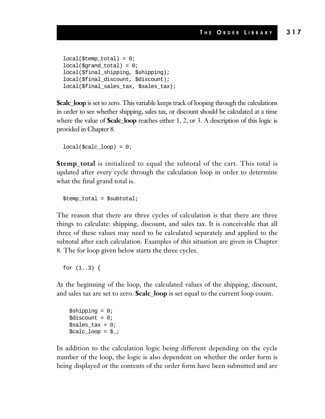```
local($temp\_total) = 0;
local($grand_total) = 0;
local($final_shipping, $shipping);
local($final_discount, $discount);
local($final_sales_tax, $sales_tax);
```
**\$calc\_loop** is set to zero. This variable keeps track of looping through the calculations in order to see whether shipping, sales tax, or discount should be calculated at a time where the value of **\$calc\_loop** reaches either 1, 2, or 3. A description of this logic is provided in Chapter 8.

 $local(\text{Scale}\,loop) = 0;$ 

**\$temp\_total** is initialized to equal the subtotal of the cart. This total is updated after every cycle through the calculation loop in order to determine what the final grand total is.

 $$temp\_total = $subtotal;$ 

The reason that there are three cycles of calculation is that there are three things to calculate: shipping, discount, and sales tax. It is conceivable that all three of these values may need to be calculated separately and applied to the subtotal after each calculation. Examples of this situation are given in Chapter 8. The for loop given below starts the three cycles.

for (1..3) {

At the beginning of the loop, the calculated values of the shipping, discount, and sales tax are set to zero. **\$calc\_loop** is set equal to the current loop count.

\$shipping = 0;  $\text{Sdiscount} = 0;$  $$sales$   $tax = 0;$  $$calc loop = $$ ;

In addition to the calculation logic being different depending on the cycle number of the loop, the logic is also dependent on whether the order form is being displayed or the contents of the order form have been submitted and are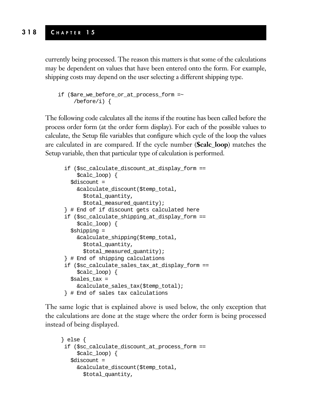currently being processed. The reason this matters is that some of the calculations may be dependent on values that have been entered onto the form. For example, shipping costs may depend on the user selecting a different shipping type.

```
if ($are we before or at process form =/before/i) {
```
The following code calculates all the items if the routine has been called before the process order form (at the order form display). For each of the possible values to calculate, the Setup file variables that configure which cycle of the loop the values are calculated in are compared. If the cycle number (**\$calc\_loop**) matches the Setup variable, then that particular type of calculation is performed.

```
if ($sc_calculate_discount_at_display_form ==
    $calc_loop) {
 $discount =
    &calculate_discount($temp_total,
      $total_quantity,
      $total_measured_quantity);
} # End of if discount gets calculated here
if ($sc_calculate_shipping_at_display_form ==
    $calc_loop) {
  $shipping =
    &calculate_shipping($temp_total,
      $total_quantity,
      $total_measured_quantity);
} # End of shipping calculations
if ($sc_calculate_sales_tax_at_display_form ==
    $calc_loop) {
  $sales tax =&calculate_sales_tax($temp_total);
} # End of sales tax calculations
```
The same logic that is explained above is used below, the only exception that the calculations are done at the stage where the order form is being processed instead of being displayed.

```
} else {
if ($sc_calculate_discount_at_process_form ==
     $calc_loop) {
  $discount =
     &calculate_discount($temp_total,
       $total_quantity,
```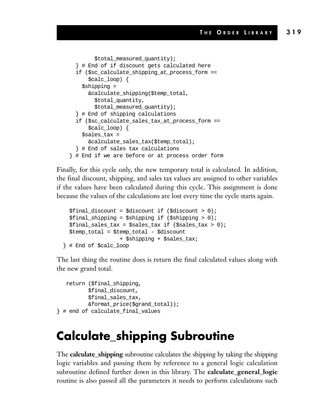```
$total_measured_quantity);
  } # End of if discount gets calculated here
  if ($sc_calculate_shipping_at_process_form ==
      $calc_loop) {
   $shipping =
      &calculate_shipping($temp_total,
        $total_quantity,
        $total_measured_quantity);
  } # End of shipping calculations
  if ($sc_calculate_sales_tax_at_process_form ==
      $calc_loop) {
    $sales tax =
      &calculate_sales_tax($temp_total);
  } # End of sales tax calculations
} # End if we are before or at process order form
```
Finally, for this cycle only, the new temporary total is calculated. In addition, the final discount, shipping, and sales tax values are assigned to other variables if the values have been calculated during this cycle. This assignment is done because the values of the calculations are lost every time the cycle starts again.

```
$final discount = $discount if ($discount > 0);
  $final_shipping = $shipping if ($shipping > 0);
  $final sales tax = $sales tax if ($sales tax > 0);
  $temp_total = $temp_total - $discount
                  + $shipping + $sales_tax;
} # End of $calc_loop
```
The last thing the routine does is return the final calculated values along with the new grand total.

```
return ($final_shipping,
          $final_discount,
          $final_sales_tax,
          &format_price($grand_total));
} # end of calculate_final_values
```
### **Calculate\_shipping Subroutine**

The **calculate\_shipping** subroutine calculates the shipping by taking the shipping logic variables and passing them by reference to a general logic calculation subroutine defined further down in this library. The **calculate\_general\_logic** routine is also passed all the parameters it needs to perform calculations such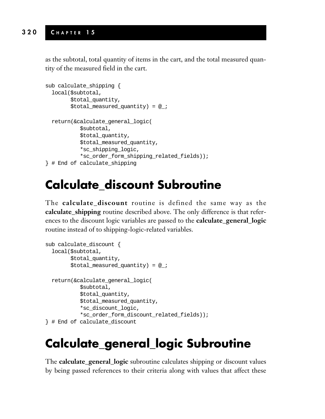as the subtotal, total quantity of items in the cart, and the total measured quantity of the measured field in the cart.

```
sub calculate_shipping {
 local($subtotal,
        $total_quantity,
        $total_measured_quantity) = @_;
 return(&calculate_general_logic(
           $subtotal,
           $total_quantity,
           $total_measured_quantity,
           *sc_shipping_logic,
           *sc_order_form_shipping_related_fields));
} # End of calculate_shipping
```
## **Calculate\_discount Subroutine**

The **calculate\_discount** routine is defined the same way as the **calculate\_shipping** routine described above. The only difference is that references to the discount logic variables are passed to the **calculate\_general\_logic** routine instead of to shipping-logic-related variables.

```
sub calculate_discount {
 local($subtotal,
        $total_quantity,
        $total measured quantity) = @;
 return(&calculate_general_logic(
           $subtotal,
           $total_quantity,
           $total_measured_quantity,
           *sc_discount_logic,
           *sc_order_form_discount_related_fields));
} # End of calculate_discount
```
### **Calculate\_general\_logic Subroutine**

The **calculate\_general\_logic** subroutine calculates shipping or discount values by being passed references to their criteria along with values that affect these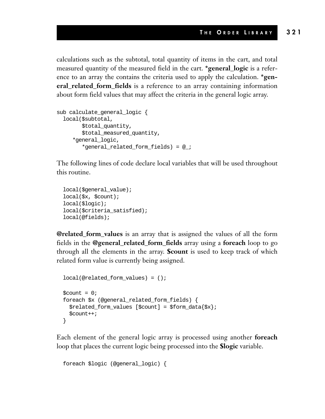calculations such as the subtotal, total quantity of items in the cart, and total measured quantity of the measured field in the cart. **\*general\_logic** is a reference to an array the contains the criteria used to apply the calculation. **\*general\_related\_form\_fields** is a reference to an array containing information about form field values that may affect the criteria in the general logic array.

```
sub calculate_general_logic {
  local($subtotal,
        $total_quantity,
        $total_measured_quantity,
     *general_logic,
        *general_related_form_fields) = @_;
```
The following lines of code declare local variables that will be used throughout this routine.

```
local($general_value);
local($x, $count);
local($logic);
local($criteria_satisfied);
local(@fields);
```
**@related\_form\_values** is an array that is assigned the values of all the form fields in the **@general\_related\_form\_fields** array using a **foreach** loop to go through all the elements in the array. **\$count** is used to keep track of which related form value is currently being assigned.

```
local(@related\ form\ values) = ();
\text{\$count} = 0;
foreach $x (@general_related_form_fields) {
  $related-form_values [Scount] = $form_data{$x}$;$count++;
}
```
Each element of the general logic array is processed using another **foreach** loop that places the current logic being processed into the **\$logic** variable.

```
foreach $logic (@general_logic) {
```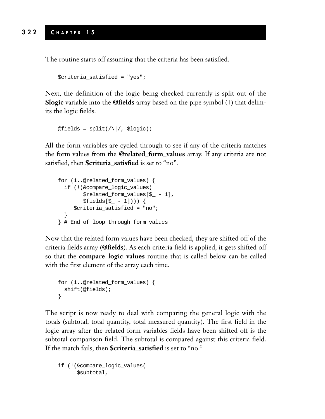The routine starts off assuming that the criteria has been satisfied.

```
$criteria_satisfied = "yes";
```
Next, the definition of the logic being checked currently is split out of the **\$logic** variable into the **@fields** array based on the pipe symbol (**|**) that delimits the logic fields.

```
\text{@fields} = \text{split}( / \backslash / /, \text{ilogic)};
```
All the form variables are cycled through to see if any of the criteria matches the form values from the **@related\_form\_values** array. If any criteria are not satisfied, then **\$criteria\_satisfied** is set to "no".

```
for (1..@related_form_values) {
 if (!(&compare_logic_values(
        $related_form_values[$_ - 1],
        $fields[$ - 1] ) ) {
     $criteria_satisfied = "no";
  }
} # End of loop through form values
```
Now that the related form values have been checked, they are shifted off of the criteria fields array (**@fields**). As each criteria field is applied, it gets shifted off so that the **compare\_logic\_values** routine that is called below can be called with the first element of the array each time.

```
for (1..@related_form_values) {
 shift(@fields);
}
```
The script is now ready to deal with comparing the general logic with the totals (subtotal, total quantity, total measured quantity). The first field in the logic array after the related form variables fields have been shifted off is the subtotal comparison field. The subtotal is compared against this criteria field. If the match fails, then **\$criteria\_satisfied** is set to "no."

```
if (!(&compare_logic_values(
      $subtotal,
```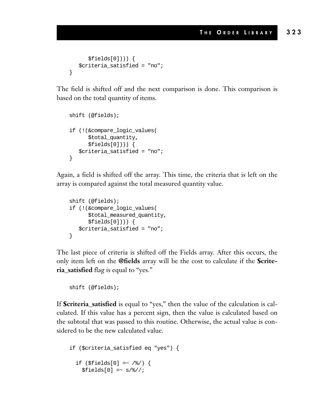```
$fields[0])) {
  $criteria_satisfied = "no";
}
```
The field is shifted off and the next comparison is done. This comparison is based on the total quantity of items.

```
shift (@fields);
if (!(&compare_logic_values(
      $total_quantity,
      $fields[0]))) {
   $criteria_satisfied = "no";
}
```
Again, a field is shifted off the array. This time, the criteria that is left on the array is compared against the total measured quantity value.

```
shift (@fields);
if (!(&compare_logic_values(
      $total_measured_quantity,
      $fields[0])) {
  $criteria_satisfied = "no";
}
```
The last piece of criteria is shifted off the Fields array. After this occurs, the only item left on the **@fields** array will be the cost to calculate if the **\$criteria\_satisfied** flag is equal to "yes."

```
shift (@fields);
```
If **\$criteria\_satisfied** is equal to "yes," then the value of the calculation is calculated. If this value has a percent sign, then the value is calculated based on the subtotal that was passed to this routine. Otherwise, the actual value is considered to be the new calculated value.

```
if ($criteria_satisfied eq "yes") {
  if (\$fields[0] = \sim /\frac{8}{\ }$fields[0] =~ s/\frac{8}{7};
```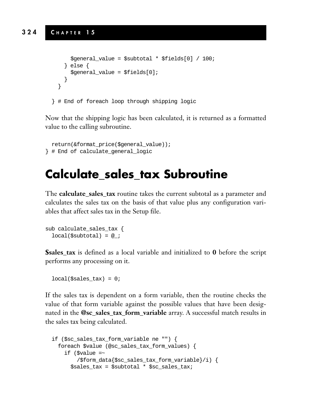```
$general_value = $subtotal * $fields[0] / 100;
  } else {
    $general_value = $fields[0];
 }
}
```
} # End of foreach loop through shipping logic

Now that the shipping logic has been calculated, it is returned as a formatted value to the calling subroutine.

```
return(&format_price($general_value));
} # End of calculate_general_logic
```
#### **Calculate\_sales\_tax Subroutine**

The **calculate\_sales\_tax** routine takes the current subtotal as a parameter and calculates the sales tax on the basis of that value plus any configuration variables that affect sales tax in the Setup file.

```
sub calculate_sales_tax {
  local(\text{subtotal}) = \emptyset;
```
**\$sales\_tax** is defined as a local variable and initialized to **0** before the script performs any processing on it.

 $local($ \$sales tax) = 0;

If the sales tax is dependent on a form variable, then the routine checks the value of that form variable against the possible values that have been designated in the **@sc\_sales\_tax\_form\_variable** array. A successful match results in the sales tax being calculated.

```
if ($sc_sales_tax_form_variable ne "") {
  foreach $value (@sc_sales_tax_form_values) {
    if (\frac{1}{2}value =~
        /$form_data{$sc_sales_tax_form_variable}/i) {
      ssales tax = ssubtotal * ssc sales tax;
```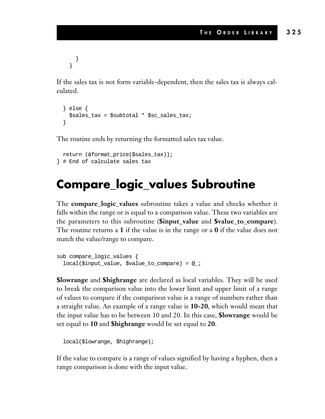} }

If the sales tax is not form variable-dependent, then the sales tax is always calculated.

```
} else {
 $sales_tax = $subtotal * $sc_sales_tax;
}
```
The routine ends by returning the formatted sales tax value.

```
return (&format_price($sales_tax));
} # End of calculate sales tax
```
#### **Compare\_logic\_values Subroutine**

The **compare\_logic\_values** subroutine takes a value and checks whether it falls within the range or is equal to a comparison value. These two variables are the parameters to this subroutine (**\$input\_value** and **\$value\_to\_compare**). The routine returns a **1** if the value is in the range or a **0** if the value does not match the value/range to compare.

```
sub compare_logic_values {
  local($input_value, $value_to_compare) = @_;
```
**\$lowrange** and **\$highrange** are declared as local variables. They will be used to break the comparison value into the lower limit and upper limit of a range of values to compare if the comparison value is a range of numbers rather than a straight value. An example of a range value is **10-20**, which would mean that the input value has to be between 10 and 20. In this case, **\$lowrange** would be set equal to **10** and **\$highrange** would be set equal to **20**.

```
local($lowrange, $highrange);
```
If the value to compare is a range of values signified by having a hyphen, then a range comparison is done with the input value.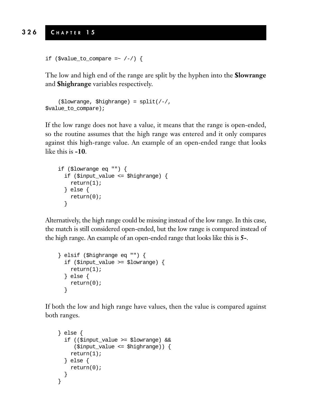```
if ($value_to_compare =~ /-/) {
```
The low and high end of the range are split by the hyphen into the **\$lowrange** and **\$highrange** variables respectively.

```
($lowrange, $highrange) = split(/-/,
$value_to_compare);
```
If the low range does not have a value, it means that the range is open-ended, so the routine assumes that the high range was entered and it only compares against this high-range value. An example of an open-ended range that looks like this is **-10**.

```
if ($lowrange eq "") {
  if ($input_value <= $highrange) {
   return(1);
  } else {
    return(0);
  }
```
Alternatively, the high range could be missing instead of the low range. In this case, the match is still considered open-ended, but the low range is compared instead of the high range. An example of an open-ended range that looks like this is **5-**.

```
} elsif ($highrange eq "") {
 if ($input_value >= $lowrange) {
   return(1);
  } else {
   return(0);
  }
```
If both the low and high range have values, then the value is compared against both ranges.

```
} else {
 if (($input_value >= $lowrange) &&
     ($input_value <= $highrange)) {
   return(1);
 } else {
   return(0);
  }
}
```